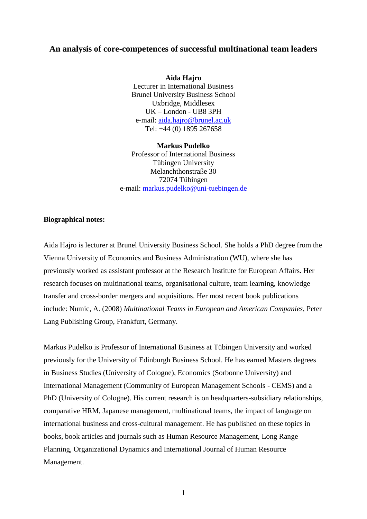## **An analysis of core-competences of successful multinational team leaders**

**Aida Hajro** Lecturer in International Business Brunel University Business School Uxbridge, Middlesex UK – London - UB8 3PH e-mail: [aida.hajro@brunel.ac.uk](mailto:aida.hajro@brunel.ac.uk) Tel: +44 (0) 1895 267658

**Markus Pudelko** Professor of International Business Tübingen University Melanchthonstraße 30 72074 Tübingen e-mail: [markus.pudelko@uni-tuebingen.de](mailto:markus.pudelko@uni-tuebingen.de)

#### **Biographical notes:**

Aida Hajro is lecturer at Brunel University Business School. She holds a PhD degree from the Vienna University of Economics and Business Administration (WU), where she has previously worked as assistant professor at the Research Institute for European Affairs. Her research focuses on multinational teams, organisational culture, team learning, knowledge transfer and cross-border mergers and acquisitions. Her most recent book publications include: Numic, A. (2008) *Multinational Teams in European and American Companies*, Peter Lang Publishing Group, Frankfurt, Germany.

Markus Pudelko is Professor of International Business at Tübingen University and worked previously for the University of Edinburgh Business School. He has earned Masters degrees in Business Studies (University of Cologne), Economics (Sorbonne University) and International Management (Community of European Management Schools - CEMS) and a PhD (University of Cologne). His current research is on headquarters-subsidiary relationships, comparative HRM, Japanese management, multinational teams, the impact of language on international business and cross-cultural management. He has published on these topics in books, book articles and journals such as Human Resource Management, Long Range Planning, Organizational Dynamics and International Journal of Human Resource Management.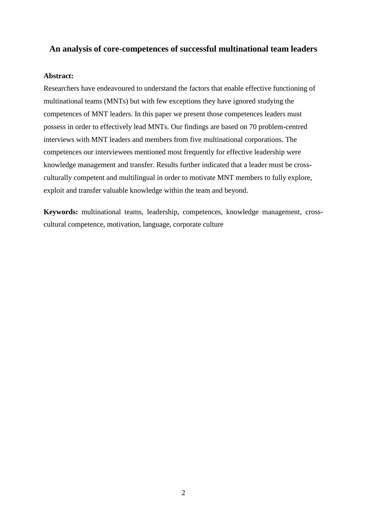## **An analysis of core-competences of successful multinational team leaders**

## **Abstract:**

Researchers have endeavoured to understand the factors that enable effective functioning of multinational teams (MNTs) but with few exceptions they have ignored studying the competences of MNT leaders. In this paper we present those competences leaders must possess in order to effectively lead MNTs. Our findings are based on 70 problem-centred interviews with MNT leaders and members from five multinational corporations. The competences our interviewees mentioned most frequently for effective leadership were knowledge management and transfer. Results further indicated that a leader must be crossculturally competent and multilingual in order to motivate MNT members to fully explore, exploit and transfer valuable knowledge within the team and beyond.

**Keywords:** multinational teams, leadership, competences, knowledge management, crosscultural competence, motivation, language, corporate culture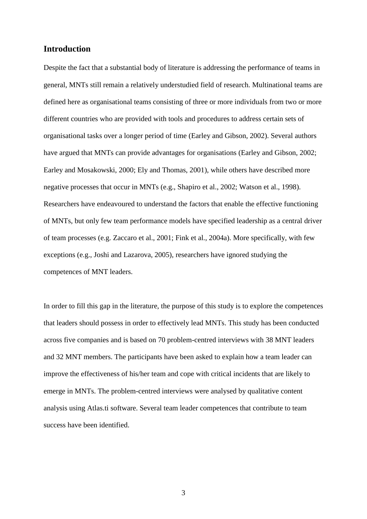## **Introduction**

Despite the fact that a substantial body of literature is addressing the performance of teams in general, MNTs still remain a relatively understudied field of research. Multinational teams are defined here as organisational teams consisting of three or more individuals from two or more different countries who are provided with tools and procedures to address certain sets of organisational tasks over a longer period of time (Earley and Gibson, 2002). Several authors have argued that MNTs can provide advantages for organisations (Earley and Gibson, 2002; Earley and Mosakowski, 2000; Ely and Thomas, 2001), while others have described more negative processes that occur in MNTs (e.g., Shapiro et al., 2002; Watson et al., 1998). Researchers have endeavoured to understand the factors that enable the effective functioning of MNTs, but only few team performance models have specified leadership as a central driver of team processes (e.g. Zaccaro et al., 2001; Fink et al., 2004a). More specifically, with few exceptions (e.g., Joshi and Lazarova, 2005), researchers have ignored studying the competences of MNT leaders.

In order to fill this gap in the literature, the purpose of this study is to explore the competences that leaders should possess in order to effectively lead MNTs. This study has been conducted across five companies and is based on 70 problem-centred interviews with 38 MNT leaders and 32 MNT members. The participants have been asked to explain how a team leader can improve the effectiveness of his/her team and cope with critical incidents that are likely to emerge in MNTs. The problem-centred interviews were analysed by qualitative content analysis using Atlas.ti software. Several team leader competences that contribute to team success have been identified.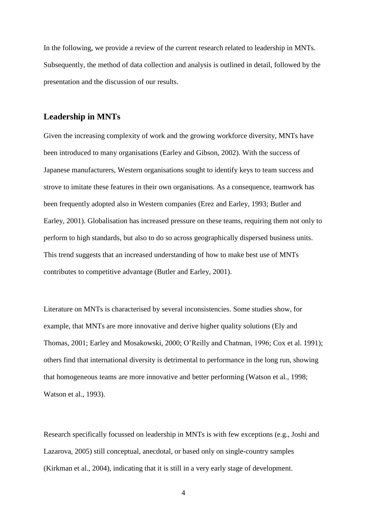In the following, we provide a review of the current research related to leadership in MNTs. Subsequently, the method of data collection and analysis is outlined in detail, followed by the presentation and the discussion of our results.

## **Leadership in MNTs**

Given the increasing complexity of work and the growing workforce diversity, MNTs have been introduced to many organisations (Earley and Gibson, 2002). With the success of Japanese manufacturers, Western organisations sought to identify keys to team success and strove to imitate these features in their own organisations. As a consequence, teamwork has been frequently adopted also in Western companies (Erez and Earley, 1993; Butler and Earley, 2001). Globalisation has increased pressure on these teams, requiring them not only to perform to high standards, but also to do so across geographically dispersed business units. This trend suggests that an increased understanding of how to make best use of MNTs contributes to competitive advantage (Butler and Earley, 2001).

Literature on MNTs is characterised by several inconsistencies. Some studies show, for example, that MNTs are more innovative and derive higher quality solutions (Ely and Thomas, 2001; Earley and Mosakowski, 2000; O'Reilly and Chatman, 1996; Cox et al. 1991); others find that international diversity is detrimental to performance in the long run, showing that homogeneous teams are more innovative and better performing (Watson et al., 1998; Watson et al., 1993).

Research specifically focussed on leadership in MNTs is with few exceptions (e.g., Joshi and Lazarova, 2005) still conceptual, anecdotal, or based only on single-country samples (Kirkman et al., 2004), indicating that it is still in a very early stage of development.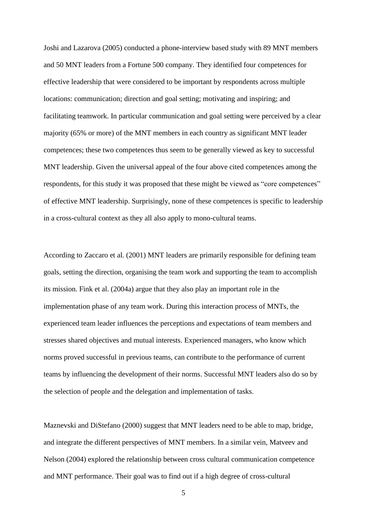Joshi and Lazarova (2005) conducted a phone-interview based study with 89 MNT members and 50 MNT leaders from a Fortune 500 company. They identified four competences for effective leadership that were considered to be important by respondents across multiple locations: communication; direction and goal setting; motivating and inspiring; and facilitating teamwork. In particular communication and goal setting were perceived by a clear majority (65% or more) of the MNT members in each country as significant MNT leader competences; these two competences thus seem to be generally viewed as key to successful MNT leadership. Given the universal appeal of the four above cited competences among the respondents, for this study it was proposed that these might be viewed as "core competences" of effective MNT leadership. Surprisingly, none of these competences is specific to leadership in a cross-cultural context as they all also apply to mono-cultural teams.

According to Zaccaro et al. (2001) MNT leaders are primarily responsible for defining team goals, setting the direction, organising the team work and supporting the team to accomplish its mission. Fink et al. (2004a) argue that they also play an important role in the implementation phase of any team work. During this interaction process of MNTs, the experienced team leader influences the perceptions and expectations of team members and stresses shared objectives and mutual interests. Experienced managers, who know which norms proved successful in previous teams, can contribute to the performance of current teams by influencing the development of their norms. Successful MNT leaders also do so by the selection of people and the delegation and implementation of tasks.

Maznevski and DiStefano (2000) suggest that MNT leaders need to be able to map, bridge, and integrate the different perspectives of MNT members. In a similar vein, Matveev and Nelson (2004) explored the relationship between cross cultural communication competence and MNT performance. Their goal was to find out if a high degree of cross-cultural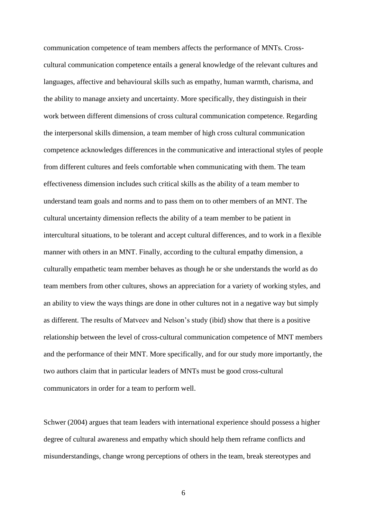communication competence of team members affects the performance of MNTs. Crosscultural communication competence entails a general knowledge of the relevant cultures and languages, affective and behavioural skills such as empathy, human warmth, charisma, and the ability to manage anxiety and uncertainty. More specifically, they distinguish in their work between different dimensions of cross cultural communication competence. Regarding the interpersonal skills dimension, a team member of high cross cultural communication competence acknowledges differences in the communicative and interactional styles of people from different cultures and feels comfortable when communicating with them. The team effectiveness dimension includes such critical skills as the ability of a team member to understand team goals and norms and to pass them on to other members of an MNT. The cultural uncertainty dimension reflects the ability of a team member to be patient in intercultural situations, to be tolerant and accept cultural differences, and to work in a flexible manner with others in an MNT. Finally, according to the cultural empathy dimension, a culturally empathetic team member behaves as though he or she understands the world as do team members from other cultures, shows an appreciation for a variety of working styles, and an ability to view the ways things are done in other cultures not in a negative way but simply as different. The results of Matveev and Nelson's study (ibid) show that there is a positive relationship between the level of cross-cultural communication competence of MNT members and the performance of their MNT. More specifically, and for our study more importantly, the two authors claim that in particular leaders of MNTs must be good cross-cultural communicators in order for a team to perform well.

Schwer (2004) argues that team leaders with international experience should possess a higher degree of cultural awareness and empathy which should help them reframe conflicts and misunderstandings, change wrong perceptions of others in the team, break stereotypes and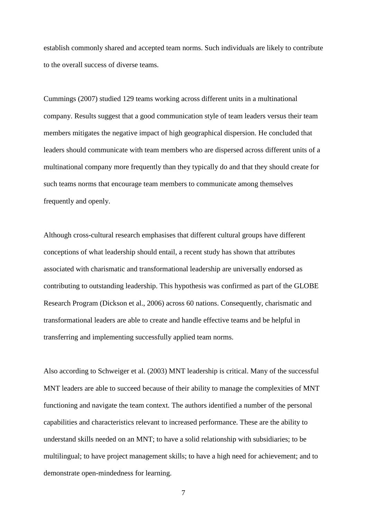establish commonly shared and accepted team norms. Such individuals are likely to contribute to the overall success of diverse teams.

Cummings (2007) studied 129 teams working across different units in a multinational company. Results suggest that a good communication style of team leaders versus their team members mitigates the negative impact of high geographical dispersion. He concluded that leaders should communicate with team members who are dispersed across different units of a multinational company more frequently than they typically do and that they should create for such teams norms that encourage team members to communicate among themselves frequently and openly.

Although cross-cultural research emphasises that different cultural groups have different conceptions of what leadership should entail, a recent study has shown that attributes associated with charismatic and transformational leadership are universally endorsed as contributing to outstanding leadership. This hypothesis was confirmed as part of the GLOBE Research Program (Dickson et al., 2006) across 60 nations. Consequently, charismatic and transformational leaders are able to create and handle effective teams and be helpful in transferring and implementing successfully applied team norms.

Also according to Schweiger et al. (2003) MNT leadership is critical. Many of the successful MNT leaders are able to succeed because of their ability to manage the complexities of MNT functioning and navigate the team context. The authors identified a number of the personal capabilities and characteristics relevant to increased performance. These are the ability to understand skills needed on an MNT; to have a solid relationship with subsidiaries; to be multilingual; to have project management skills; to have a high need for achievement; and to demonstrate open-mindedness for learning.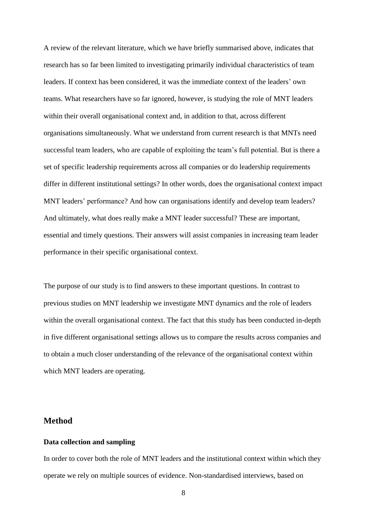A review of the relevant literature, which we have briefly summarised above, indicates that research has so far been limited to investigating primarily individual characteristics of team leaders. If context has been considered, it was the immediate context of the leaders' own teams. What researchers have so far ignored, however, is studying the role of MNT leaders within their overall organisational context and, in addition to that, across different organisations simultaneously. What we understand from current research is that MNTs need successful team leaders, who are capable of exploiting the team's full potential. But is there a set of specific leadership requirements across all companies or do leadership requirements differ in different institutional settings? In other words, does the organisational context impact MNT leaders' performance? And how can organisations identify and develop team leaders? And ultimately, what does really make a MNT leader successful? These are important, essential and timely questions. Their answers will assist companies in increasing team leader performance in their specific organisational context.

The purpose of our study is to find answers to these important questions. In contrast to previous studies on MNT leadership we investigate MNT dynamics and the role of leaders within the overall organisational context. The fact that this study has been conducted in-depth in five different organisational settings allows us to compare the results across companies and to obtain a much closer understanding of the relevance of the organisational context within which MNT leaders are operating.

## **Method**

### **Data collection and sampling**

In order to cover both the role of MNT leaders and the institutional context within which they operate we rely on multiple sources of evidence. Non-standardised interviews, based on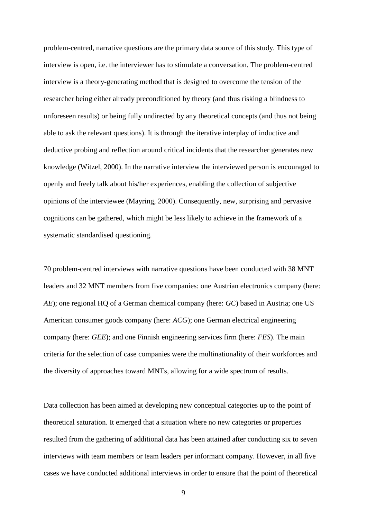problem-centred, narrative questions are the primary data source of this study. This type of interview is open, i.e. the interviewer has to stimulate a conversation. The problem-centred interview is a theory-generating method that is designed to overcome the tension of the researcher being either already preconditioned by theory (and thus risking a blindness to unforeseen results) or being fully undirected by any theoretical concepts (and thus not being able to ask the relevant questions). It is through the iterative interplay of inductive and deductive probing and reflection around critical incidents that the researcher generates new knowledge (Witzel, 2000). In the narrative interview the interviewed person is encouraged to openly and freely talk about his/her experiences, enabling the collection of subjective opinions of the interviewee (Mayring, 2000). Consequently, new, surprising and pervasive cognitions can be gathered, which might be less likely to achieve in the framework of a systematic standardised questioning.

70 problem-centred interviews with narrative questions have been conducted with 38 MNT leaders and 32 MNT members from five companies: one Austrian electronics company (here: *AE*); one regional HQ of a German chemical company (here: *GC*) based in Austria; one US American consumer goods company (here: *ACG*); one German electrical engineering company (here: *GEE*); and one Finnish engineering services firm (here: *FES*). The main criteria for the selection of case companies were the multinationality of their workforces and the diversity of approaches toward MNTs, allowing for a wide spectrum of results.

Data collection has been aimed at developing new conceptual categories up to the point of theoretical saturation. It emerged that a situation where no new categories or properties resulted from the gathering of additional data has been attained after conducting six to seven interviews with team members or team leaders per informant company. However, in all five cases we have conducted additional interviews in order to ensure that the point of theoretical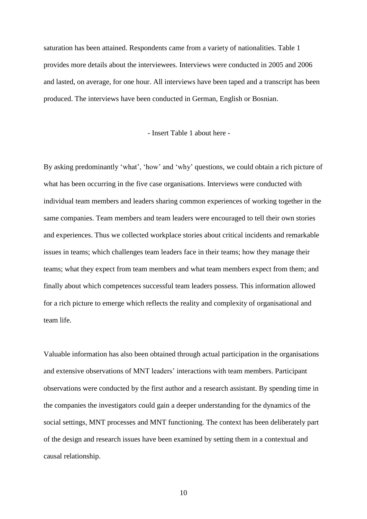saturation has been attained. Respondents came from a variety of nationalities. Table 1 provides more details about the interviewees. Interviews were conducted in 2005 and 2006 and lasted, on average, for one hour. All interviews have been taped and a transcript has been produced. The interviews have been conducted in German, English or Bosnian.

- Insert Table 1 about here -

By asking predominantly 'what', 'how' and 'why' questions, we could obtain a rich picture of what has been occurring in the five case organisations. Interviews were conducted with individual team members and leaders sharing common experiences of working together in the same companies. Team members and team leaders were encouraged to tell their own stories and experiences. Thus we collected workplace stories about critical incidents and remarkable issues in teams; which challenges team leaders face in their teams; how they manage their teams; what they expect from team members and what team members expect from them; and finally about which competences successful team leaders possess. This information allowed for a rich picture to emerge which reflects the reality and complexity of organisational and team life.

Valuable information has also been obtained through actual participation in the organisations and extensive observations of MNT leaders' interactions with team members. Participant observations were conducted by the first author and a research assistant. By spending time in the companies the investigators could gain a deeper understanding for the dynamics of the social settings, MNT processes and MNT functioning. The context has been deliberately part of the design and research issues have been examined by setting them in a contextual and causal relationship.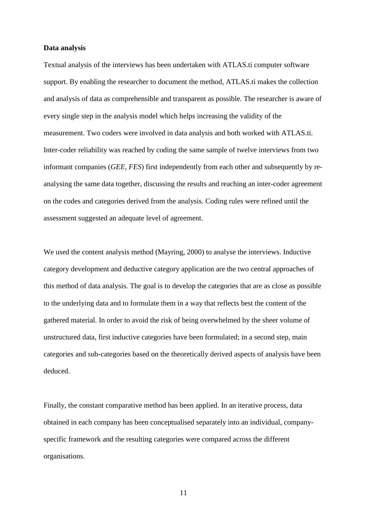#### **Data analysis**

Textual analysis of the interviews has been undertaken with ATLAS.ti computer software support. By enabling the researcher to document the method, ATLAS.ti makes the collection and analysis of data as comprehensible and transparent as possible. The researcher is aware of every single step in the analysis model which helps increasing the validity of the measurement. Two coders were involved in data analysis and both worked with ATLAS.ti. Inter-coder reliability was reached by coding the same sample of twelve interviews from two informant companies (*GEE, FES*) first independently from each other and subsequently by reanalysing the same data together, discussing the results and reaching an inter-coder agreement on the codes and categories derived from the analysis. Coding rules were refined until the assessment suggested an adequate level of agreement.

We used the content analysis method (Mayring, 2000) to analyse the interviews. Inductive category development and deductive category application are the two central approaches of this method of data analysis. The goal is to develop the categories that are as close as possible to the underlying data and to formulate them in a way that reflects best the content of the gathered material. In order to avoid the risk of being overwhelmed by the sheer volume of unstructured data, first inductive categories have been formulated; in a second step, main categories and sub-categories based on the theoretically derived aspects of analysis have been deduced.

Finally, the constant comparative method has been applied. In an iterative process, data obtained in each company has been conceptualised separately into an individual, companyspecific framework and the resulting categories were compared across the different organisations.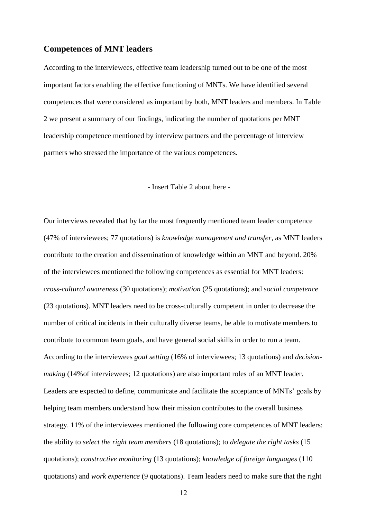## **Competences of MNT leaders**

According to the interviewees, effective team leadership turned out to be one of the most important factors enabling the effective functioning of MNTs. We have identified several competences that were considered as important by both, MNT leaders and members. In Table 2 we present a summary of our findings, indicating the number of quotations per MNT leadership competence mentioned by interview partners and the percentage of interview partners who stressed the importance of the various competences.

#### - Insert Table 2 about here -

Our interviews revealed that by far the most frequently mentioned team leader competence (47% of interviewees; 77 quotations) is *knowledge management and transfer*, as MNT leaders contribute to the creation and dissemination of knowledge within an MNT and beyond. 20% of the interviewees mentioned the following competences as essential for MNT leaders: *cross-cultural awareness* (30 quotations); *motivation* (25 quotations); and *social competence* (23 quotations). MNT leaders need to be cross-culturally competent in order to decrease the number of critical incidents in their culturally diverse teams, be able to motivate members to contribute to common team goals, and have general social skills in order to run a team. According to the interviewees *goal setting* (16% of interviewees; 13 quotations) and *decisionmaking* (14%of interviewees; 12 quotations) are also important roles of an MNT leader. Leaders are expected to define, communicate and facilitate the acceptance of MNTs' goals by helping team members understand how their mission contributes to the overall business strategy. 11% of the interviewees mentioned the following core competences of MNT leaders: the ability to *select the right team members* (18 quotations); to *delegate the right tasks* (15 quotations); *constructive monitoring* (13 quotations); *knowledge of foreign languages* (110 quotations) and *work experience* (9 quotations). Team leaders need to make sure that the right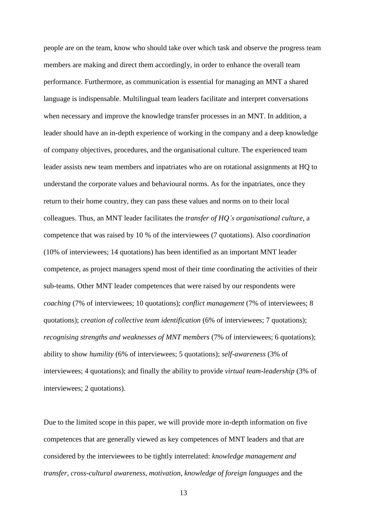people are on the team, know who should take over which task and observe the progress team members are making and direct them accordingly, in order to enhance the overall team performance. Furthermore, as communication is essential for managing an MNT a shared language is indispensable. Multilingual team leaders facilitate and interpret conversations when necessary and improve the knowledge transfer processes in an MNT. In addition, a leader should have an in-depth experience of working in the company and a deep knowledge of company objectives, procedures, and the organisational culture. The experienced team leader assists new team members and inpatriates who are on rotational assignments at HQ to understand the corporate values and behavioural norms. As for the inpatriates, once they return to their home country, they can pass these values and norms on to their local colleagues. Thus, an MNT leader facilitates the *transfer of HQ's organisational culture*, a competence that was raised by 10 % of the interviewees (7 quotations). Also *coordination* (10% of interviewees; 14 quotations) has been identified as an important MNT leader competence, as project managers spend most of their time coordinating the activities of their sub-teams. Other MNT leader competences that were raised by our respondents were *coaching* (7% of interviewees; 10 quotations); *conflict management* (7% of interviewees; 8 quotations); *creation of collective team identification* (6% of interviewees; 7 quotations); *recognising strengths and weaknesses of MNT members* (7% of interviewees; 6 quotations); ability to show *humility* (6% of interviewees; 5 quotations); *self-awareness* (3% of interviewees; 4 quotations); and finally the ability to provide *virtual team-leadership* (3% of interviewees; 2 quotations).

Due to the limited scope in this paper, we will provide more in-depth information on five competences that are generally viewed as key competences of MNT leaders and that are considered by the interviewees to be tightly interrelated: *knowledge management and transfer*, *cross-cultural awareness*, *motivation*, *knowledge of foreign languages* and the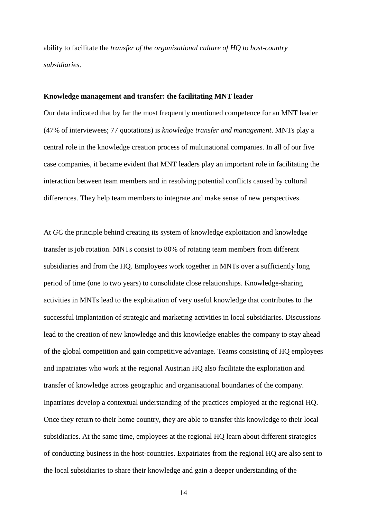ability to facilitate the *transfer of the organisational culture of HQ to host-country subsidiaries*.

#### **Knowledge management and transfer: the facilitating MNT leader**

Our data indicated that by far the most frequently mentioned competence for an MNT leader (47% of interviewees; 77 quotations) is *knowledge transfer and management*. MNTs play a central role in the knowledge creation process of multinational companies. In all of our five case companies, it became evident that MNT leaders play an important role in facilitating the interaction between team members and in resolving potential conflicts caused by cultural differences. They help team members to integrate and make sense of new perspectives.

At *GC* the principle behind creating its system of knowledge exploitation and knowledge transfer is job rotation. MNTs consist to 80% of rotating team members from different subsidiaries and from the HQ. Employees work together in MNTs over a sufficiently long period of time (one to two years) to consolidate close relationships. Knowledge-sharing activities in MNTs lead to the exploitation of very useful knowledge that contributes to the successful implantation of strategic and marketing activities in local subsidiaries. Discussions lead to the creation of new knowledge and this knowledge enables the company to stay ahead of the global competition and gain competitive advantage. Teams consisting of HQ employees and inpatriates who work at the regional Austrian HQ also facilitate the exploitation and transfer of knowledge across geographic and organisational boundaries of the company. Inpatriates develop a contextual understanding of the practices employed at the regional HQ. Once they return to their home country, they are able to transfer this knowledge to their local subsidiaries. At the same time, employees at the regional HQ learn about different strategies of conducting business in the host-countries. Expatriates from the regional HQ are also sent to the local subsidiaries to share their knowledge and gain a deeper understanding of the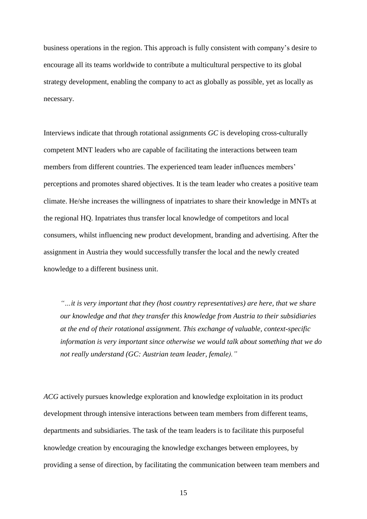business operations in the region. This approach is fully consistent with company's desire to encourage all its teams worldwide to contribute a multicultural perspective to its global strategy development, enabling the company to act as globally as possible, yet as locally as necessary.

Interviews indicate that through rotational assignments *GC* is developing cross-culturally competent MNT leaders who are capable of facilitating the interactions between team members from different countries. The experienced team leader influences members' perceptions and promotes shared objectives. It is the team leader who creates a positive team climate. He/she increases the willingness of inpatriates to share their knowledge in MNTs at the regional HQ. Inpatriates thus transfer local knowledge of competitors and local consumers, whilst influencing new product development, branding and advertising. After the assignment in Austria they would successfully transfer the local and the newly created knowledge to a different business unit.

*"…it is very important that they (host country representatives) are here, that we share our knowledge and that they transfer this knowledge from Austria to their subsidiaries at the end of their rotational assignment. This exchange of valuable, context-specific information is very important since otherwise we would talk about something that we do not really understand (GC: Austrian team leader, female)."*

*ACG* actively pursues knowledge exploration and knowledge exploitation in its product development through intensive interactions between team members from different teams, departments and subsidiaries. The task of the team leaders is to facilitate this purposeful knowledge creation by encouraging the knowledge exchanges between employees, by providing a sense of direction, by facilitating the communication between team members and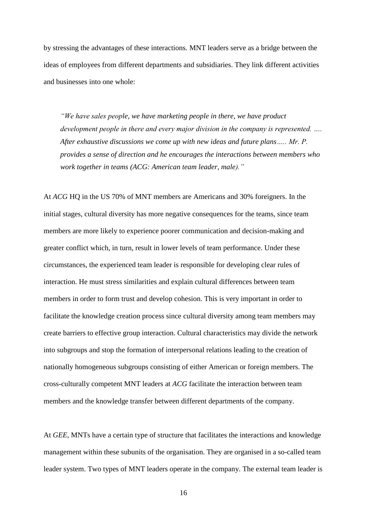by stressing the advantages of these interactions. MNT leaders serve as a bridge between the ideas of employees from different departments and subsidiaries. They link different activities and businesses into one whole:

*"We have sales people, we have marketing people in there, we have product development people in there and every major division in the company is represented. .... After exhaustive discussions we come up with new ideas and future plans….. Mr. P. provides a sense of direction and he encourages the interactions between members who work together in teams (ACG: American team leader, male)."*

At *ACG* HQ in the US 70% of MNT members are Americans and 30% foreigners. In the initial stages, cultural diversity has more negative consequences for the teams, since team members are more likely to experience poorer communication and decision-making and greater conflict which, in turn, result in lower levels of team performance. Under these circumstances, the experienced team leader is responsible for developing clear rules of interaction. He must stress similarities and explain cultural differences between team members in order to form trust and develop cohesion. This is very important in order to facilitate the knowledge creation process since cultural diversity among team members may create barriers to effective group interaction. Cultural characteristics may divide the network into subgroups and stop the formation of interpersonal relations leading to the creation of nationally homogeneous subgroups consisting of either American or foreign members. The cross-culturally competent MNT leaders at *ACG* facilitate the interaction between team members and the knowledge transfer between different departments of the company.

At *GEE*, MNTs have a certain type of structure that facilitates the interactions and knowledge management within these subunits of the organisation. They are organised in a so-called team leader system. Two types of MNT leaders operate in the company. The external team leader is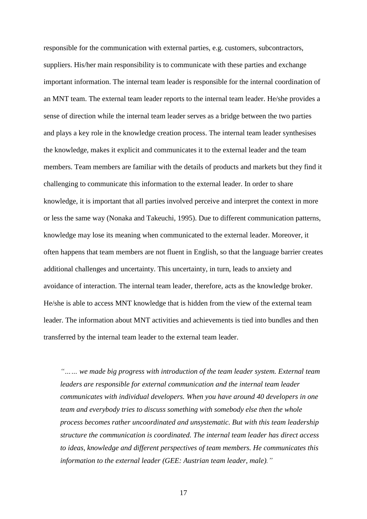responsible for the communication with external parties, e.g. customers, subcontractors, suppliers. His/her main responsibility is to communicate with these parties and exchange important information. The internal team leader is responsible for the internal coordination of an MNT team. The external team leader reports to the internal team leader. He/she provides a sense of direction while the internal team leader serves as a bridge between the two parties and plays a key role in the knowledge creation process. The internal team leader synthesises the knowledge, makes it explicit and communicates it to the external leader and the team members. Team members are familiar with the details of products and markets but they find it challenging to communicate this information to the external leader. In order to share knowledge, it is important that all parties involved perceive and interpret the context in more or less the same way (Nonaka and Takeuchi, 1995). Due to different communication patterns, knowledge may lose its meaning when communicated to the external leader. Moreover, it often happens that team members are not fluent in English, so that the language barrier creates additional challenges and uncertainty. This uncertainty, in turn, leads to anxiety and avoidance of interaction. The internal team leader, therefore, acts as the knowledge broker. He/she is able to access MNT knowledge that is hidden from the view of the external team leader. The information about MNT activities and achievements is tied into bundles and then transferred by the internal team leader to the external team leader.

*"…… we made big progress with introduction of the team leader system. External team leaders are responsible for external communication and the internal team leader communicates with individual developers. When you have around 40 developers in one team and everybody tries to discuss something with somebody else then the whole process becomes rather uncoordinated and unsystematic. But with this team leadership structure the communication is coordinated. The internal team leader has direct access to ideas, knowledge and different perspectives of team members. He communicates this information to the external leader (GEE: Austrian team leader, male)."*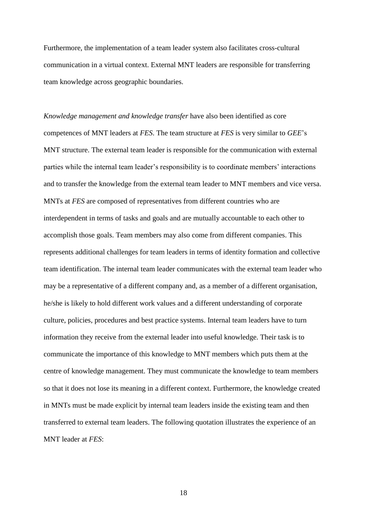Furthermore, the implementation of a team leader system also facilitates cross-cultural communication in a virtual context. External MNT leaders are responsible for transferring team knowledge across geographic boundaries.

*Knowledge management and knowledge transfer* have also been identified as core competences of MNT leaders at *FES*. The team structure at *FES* is very similar to *GEE*'s MNT structure. The external team leader is responsible for the communication with external parties while the internal team leader's responsibility is to coordinate members' interactions and to transfer the knowledge from the external team leader to MNT members and vice versa. MNTs at *FES* are composed of representatives from different countries who are interdependent in terms of tasks and goals and are mutually accountable to each other to accomplish those goals. Team members may also come from different companies. This represents additional challenges for team leaders in terms of identity formation and collective team identification. The internal team leader communicates with the external team leader who may be a representative of a different company and, as a member of a different organisation, he/she is likely to hold different work values and a different understanding of corporate culture, policies, procedures and best practice systems. Internal team leaders have to turn information they receive from the external leader into useful knowledge. Their task is to communicate the importance of this knowledge to MNT members which puts them at the centre of knowledge management. They must communicate the knowledge to team members so that it does not lose its meaning in a different context. Furthermore, the knowledge created in MNTs must be made explicit by internal team leaders inside the existing team and then transferred to external team leaders. The following quotation illustrates the experience of an MNT leader at *FES*: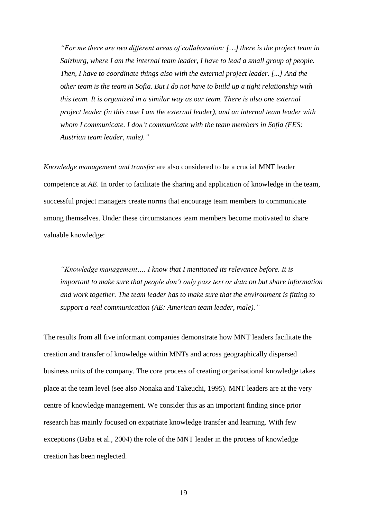*"For me there are two different areas of collaboration: […] there is the project team in Salzburg, where I am the internal team leader, I have to lead a small group of people. Then, I have to coordinate things also with the external project leader. [...] And the other team is the team in Sofia. But I do not have to build up a tight relationship with this team. It is organized in a similar way as our team. There is also one external project leader (in this case I am the external leader), and an internal team leader with whom I communicate. I don't communicate with the team members in Sofia (FES: Austrian team leader, male)."*

*Knowledge management and transfer* are also considered to be a crucial MNT leader competence at *AE*. In order to facilitate the sharing and application of knowledge in the team, successful project managers create norms that encourage team members to communicate among themselves. Under these circumstances team members become motivated to share valuable knowledge:

*"Knowledge management…. I know that I mentioned its relevance before. It is important to make sure that people don't only pass text or data on but share information and work together. The team leader has to make sure that the environment is fitting to support a real communication (AE: American team leader, male)."*

The results from all five informant companies demonstrate how MNT leaders facilitate the creation and transfer of knowledge within MNTs and across geographically dispersed business units of the company. The core process of creating organisational knowledge takes place at the team level (see also Nonaka and Takeuchi, 1995). MNT leaders are at the very centre of knowledge management. We consider this as an important finding since prior research has mainly focused on expatriate knowledge transfer and learning. With few exceptions (Baba et al., 2004) the role of the MNT leader in the process of knowledge creation has been neglected.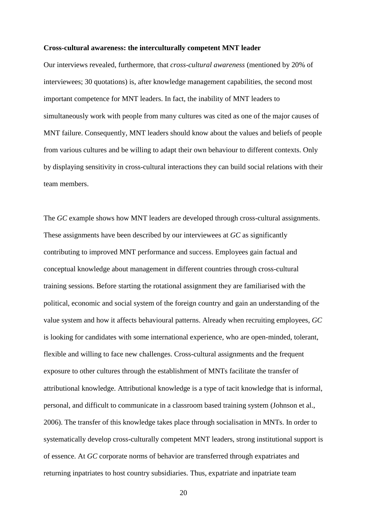#### **Cross-cultural awareness: the interculturally competent MNT leader**

Our interviews revealed, furthermore, that *cross-cultural awareness* (mentioned by 20% of interviewees; 30 quotations) is, after knowledge management capabilities, the second most important competence for MNT leaders. In fact, the inability of MNT leaders to simultaneously work with people from many cultures was cited as one of the major causes of MNT failure. Consequently, MNT leaders should know about the values and beliefs of people from various cultures and be willing to adapt their own behaviour to different contexts. Only by displaying sensitivity in cross-cultural interactions they can build social relations with their team members.

The *GC* example shows how MNT leaders are developed through cross-cultural assignments. These assignments have been described by our interviewees at *GC* as significantly contributing to improved MNT performance and success. Employees gain factual and conceptual knowledge about management in different countries through cross-cultural training sessions. Before starting the rotational assignment they are familiarised with the political, economic and social system of the foreign country and gain an understanding of the value system and how it affects behavioural patterns. Already when recruiting employees, *GC* is looking for candidates with some international experience, who are open-minded, tolerant, flexible and willing to face new challenges. Cross-cultural assignments and the frequent exposure to other cultures through the establishment of MNTs facilitate the transfer of attributional knowledge. Attributional knowledge is a type of tacit knowledge that is informal, personal, and difficult to communicate in a classroom based training system (Johnson et al., 2006). The transfer of this knowledge takes place through socialisation in MNTs. In order to systematically develop cross-culturally competent MNT leaders, strong institutional support is of essence. At *GC* corporate norms of behavior are transferred through expatriates and returning inpatriates to host country subsidiaries. Thus, expatriate and inpatriate team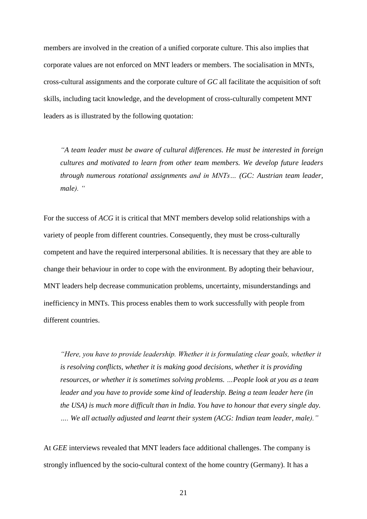members are involved in the creation of a unified corporate culture. This also implies that corporate values are not enforced on MNT leaders or members. The socialisation in MNTs, cross-cultural assignments and the corporate culture of *GC* all facilitate the acquisition of soft skills, including tacit knowledge, and the development of cross-culturally competent MNT leaders as is illustrated by the following quotation:

*"A team leader must be aware of cultural differences. He must be interested in foreign cultures and motivated to learn from other team members. We develop future leaders through numerous rotational assignments and in MNTs… (GC: Austrian team leader, male). "*

For the success of *ACG* it is critical that MNT members develop solid relationships with a variety of people from different countries. Consequently, they must be cross-culturally competent and have the required interpersonal abilities. It is necessary that they are able to change their behaviour in order to cope with the environment. By adopting their behaviour, MNT leaders help decrease communication problems, uncertainty, misunderstandings and inefficiency in MNTs. This process enables them to work successfully with people from different countries.

*"Here, you have to provide leadership. Whether it is formulating clear goals, whether it is resolving conflicts, whether it is making good decisions, whether it is providing resources, or whether it is sometimes solving problems. …People look at you as a team leader and you have to provide some kind of leadership. Being a team leader here (in the USA) is much more difficult than in India. You have to honour that every single day. …. We all actually adjusted and learnt their system (ACG: Indian team leader, male)."*

At *GEE* interviews revealed that MNT leaders face additional challenges. The company is strongly influenced by the socio-cultural context of the home country (Germany). It has a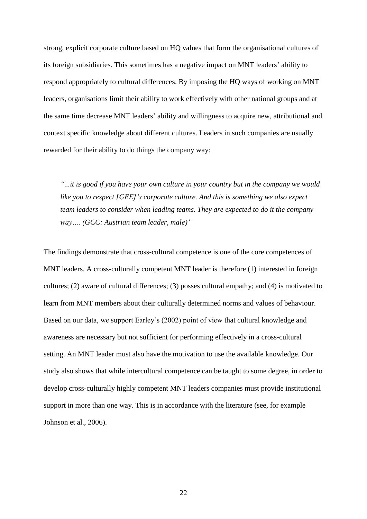strong, explicit corporate culture based on HQ values that form the organisational cultures of its foreign subsidiaries. This sometimes has a negative impact on MNT leaders' ability to respond appropriately to cultural differences. By imposing the HQ ways of working on MNT leaders, organisations limit their ability to work effectively with other national groups and at the same time decrease MNT leaders' ability and willingness to acquire new, attributional and context specific knowledge about different cultures. Leaders in such companies are usually rewarded for their ability to do things the company way:

*"...it is good if you have your own culture in your country but in the company we would like you to respect [GEE]'s corporate culture. And this is something we also expect team leaders to consider when leading teams. They are expected to do it the company way…. (GCC: Austrian team leader, male)"*

The findings demonstrate that cross-cultural competence is one of the core competences of MNT leaders. A cross-culturally competent MNT leader is therefore (1) interested in foreign cultures; (2) aware of cultural differences; (3) posses cultural empathy; and (4) is motivated to learn from MNT members about their culturally determined norms and values of behaviour. Based on our data, we support Earley's (2002) point of view that cultural knowledge and awareness are necessary but not sufficient for performing effectively in a cross-cultural setting. An MNT leader must also have the motivation to use the available knowledge. Our study also shows that while intercultural competence can be taught to some degree, in order to develop cross-culturally highly competent MNT leaders companies must provide institutional support in more than one way. This is in accordance with the literature (see, for example Johnson et al., 2006).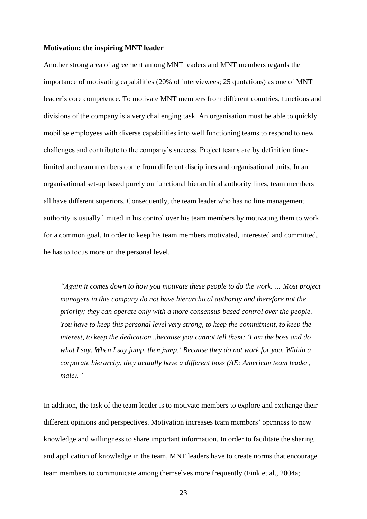#### **Motivation: the inspiring MNT leader**

Another strong area of agreement among MNT leaders and MNT members regards the importance of motivating capabilities (20% of interviewees; 25 quotations) as one of MNT leader's core competence. To motivate MNT members from different countries, functions and divisions of the company is a very challenging task. An organisation must be able to quickly mobilise employees with diverse capabilities into well functioning teams to respond to new challenges and contribute to the company's success. Project teams are by definition timelimited and team members come from different disciplines and organisational units. In an organisational set-up based purely on functional hierarchical authority lines, team members all have different superiors. Consequently, the team leader who has no line management authority is usually limited in his control over his team members by motivating them to work for a common goal. In order to keep his team members motivated, interested and committed, he has to focus more on the personal level.

*"Again it comes down to how you motivate these people to do the work. … Most project managers in this company do not have hierarchical authority and therefore not the priority; they can operate only with a more consensus-based control over the people. You have to keep this personal level very strong, to keep the commitment, to keep the interest, to keep the dedication...because you cannot tell them: 'I am the boss and do what I say. When I say jump, then jump.' Because they do not work for you. Within a corporate hierarchy, they actually have a different boss (AE: American team leader, male)."*

In addition, the task of the team leader is to motivate members to explore and exchange their different opinions and perspectives. Motivation increases team members' openness to new knowledge and willingness to share important information. In order to facilitate the sharing and application of knowledge in the team, MNT leaders have to create norms that encourage team members to communicate among themselves more frequently (Fink et al., 2004a;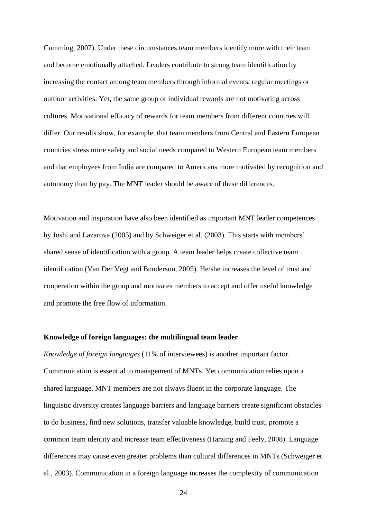Cumming, 2007). Under these circumstances team members identify more with their team and become emotionally attached. Leaders contribute to strong team identification by increasing the contact among team members through informal events, regular meetings or outdoor activities. Yet, the same group or individual rewards are not motivating across cultures. Motivational efficacy of rewards for team members from different countries will differ. Our results show, for example, that team members from Central and Eastern European countries stress more safety and social needs compared to Western European team members and that employees from India are compared to Americans more motivated by recognition and autonomy than by pay. The MNT leader should be aware of these differences.

Motivation and inspiration have also been identified as important MNT leader competences by Joshi and Lazarova (2005) and by Schweiger et al. (2003). This starts with members' shared sense of identification with a group. A team leader helps create collective team identification (Van Der Vegt and Bunderson, 2005). He/she increases the level of trust and cooperation within the group and motivates members to accept and offer useful knowledge and promote the free flow of information.

#### **Knowledge of foreign languages: the multilingual team leader**

*Knowledge of foreign languages* (11% of interviewees) is another important factor. Communication is essential to management of MNTs. Yet communication relies upon a shared language. MNT members are not always fluent in the corporate language. The linguistic diversity creates language barriers and language barriers create significant obstacles to do business, find new solutions, transfer valuable knowledge, build trust, promote a common team identity and increase team effectiveness (Harzing and Feely, 2008). Language differences may cause even greater problems than cultural differences in MNTs (Schweiger et al., 2003). Communication in a foreign language increases the complexity of communication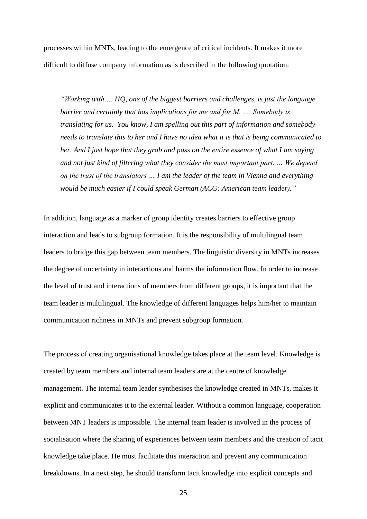processes within MNTs, leading to the emergence of critical incidents. It makes it more difficult to diffuse company information as is described in the following quotation:

*"Working with … HQ, one of the biggest barriers and challenges, is just the language barrier and certainly that has implications for me and for M. …. Somebody is translating for us. You know, I am spelling out this part of information and somebody needs to translate this to her and I have no idea what it is that is being communicated to her. And I just hope that they grab and pass on the entire essence of what I am saying and not just kind of filtering what they consider the most important part. … We depend on the trust of the translators … I am the leader of the team in Vienna and everything would be much easier if I could speak German (ACG: American team leader)."*

In addition, language as a marker of group identity creates barriers to effective group interaction and leads to subgroup formation. It is the responsibility of multilingual team leaders to bridge this gap between team members. The linguistic diversity in MNTs increases the degree of uncertainty in interactions and harms the information flow. In order to increase the level of trust and interactions of members from different groups, it is important that the team leader is multilingual. The knowledge of different languages helps him/her to maintain communication richness in MNTs and prevent subgroup formation.

The process of creating organisational knowledge takes place at the team level. Knowledge is created by team members and internal team leaders are at the centre of knowledge management. The internal team leader synthesises the knowledge created in MNTs, makes it explicit and communicates it to the external leader. Without a common language, cooperation between MNT leaders is impossible. The internal team leader is involved in the process of socialisation where the sharing of experiences between team members and the creation of tacit knowledge take place. He must facilitate this interaction and prevent any communication breakdowns. In a next step, he should transform tacit knowledge into explicit concepts and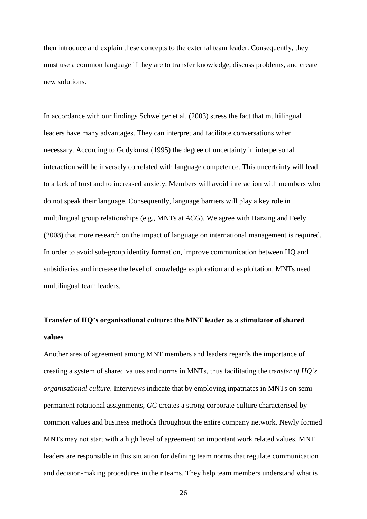then introduce and explain these concepts to the external team leader. Consequently, they must use a common language if they are to transfer knowledge, discuss problems, and create new solutions.

In accordance with our findings Schweiger et al. (2003) stress the fact that multilingual leaders have many advantages. They can interpret and facilitate conversations when necessary. According to Gudykunst (1995) the degree of uncertainty in interpersonal interaction will be inversely correlated with language competence. This uncertainty will lead to a lack of trust and to increased anxiety. Members will avoid interaction with members who do not speak their language. Consequently, language barriers will play a key role in multilingual group relationships (e.g., MNTs at *ACG*). We agree with Harzing and Feely (2008) that more research on the impact of language on international management is required. In order to avoid sub-group identity formation, improve communication between HQ and subsidiaries and increase the level of knowledge exploration and exploitation, MNTs need multilingual team leaders.

# **Transfer of HQ's organisational culture: the MNT leader as a stimulator of shared values**

Another area of agreement among MNT members and leaders regards the importance of creating a system of shared values and norms in MNTs, thus facilitating the tra*nsfer of HQ's organisational culture*. Interviews indicate that by employing inpatriates in MNTs on semipermanent rotational assignments, *GC* creates a strong corporate culture characterised by common values and business methods throughout the entire company network. Newly formed MNTs may not start with a high level of agreement on important work related values. MNT leaders are responsible in this situation for defining team norms that regulate communication and decision-making procedures in their teams. They help team members understand what is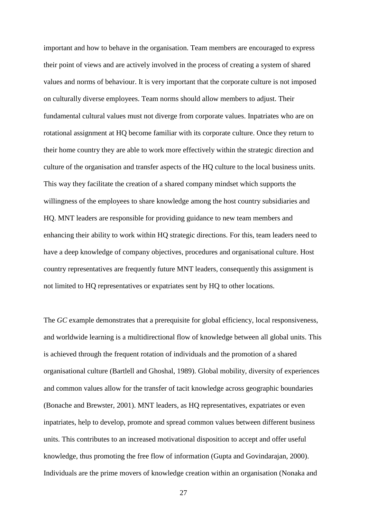important and how to behave in the organisation. Team members are encouraged to express their point of views and are actively involved in the process of creating a system of shared values and norms of behaviour. It is very important that the corporate culture is not imposed on culturally diverse employees. Team norms should allow members to adjust. Their fundamental cultural values must not diverge from corporate values. Inpatriates who are on rotational assignment at HQ become familiar with its corporate culture. Once they return to their home country they are able to work more effectively within the strategic direction and culture of the organisation and transfer aspects of the HQ culture to the local business units. This way they facilitate the creation of a shared company mindset which supports the willingness of the employees to share knowledge among the host country subsidiaries and HQ. MNT leaders are responsible for providing guidance to new team members and enhancing their ability to work within HQ strategic directions. For this, team leaders need to have a deep knowledge of company objectives, procedures and organisational culture. Host country representatives are frequently future MNT leaders, consequently this assignment is not limited to HQ representatives or expatriates sent by HQ to other locations.

The *GC* example demonstrates that a prerequisite for global efficiency, local responsiveness, and worldwide learning is a multidirectional flow of knowledge between all global units. This is achieved through the frequent rotation of individuals and the promotion of a shared organisational culture (Bartlell and Ghoshal, 1989). Global mobility, diversity of experiences and common values allow for the transfer of tacit knowledge across geographic boundaries (Bonache and Brewster, 2001). MNT leaders, as HQ representatives, expatriates or even inpatriates, help to develop, promote and spread common values between different business units. This contributes to an increased motivational disposition to accept and offer useful knowledge, thus promoting the free flow of information (Gupta and Govindarajan, 2000). Individuals are the prime movers of knowledge creation within an organisation (Nonaka and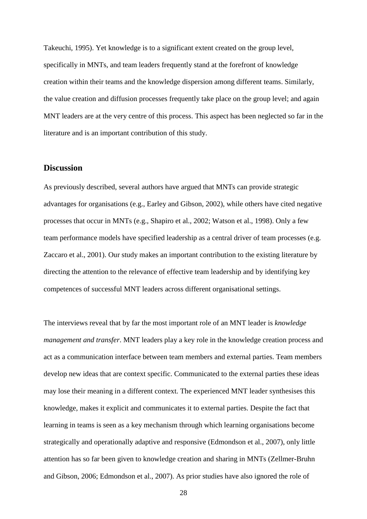Takeuchi, 1995). Yet knowledge is to a significant extent created on the group level, specifically in MNTs, and team leaders frequently stand at the forefront of knowledge creation within their teams and the knowledge dispersion among different teams. Similarly, the value creation and diffusion processes frequently take place on the group level; and again MNT leaders are at the very centre of this process. This aspect has been neglected so far in the literature and is an important contribution of this study.

## **Discussion**

As previously described, several authors have argued that MNTs can provide strategic advantages for organisations (e.g., Earley and Gibson, 2002), while others have cited negative processes that occur in MNTs (e.g., Shapiro et al., 2002; Watson et al., 1998). Only a few team performance models have specified leadership as a central driver of team processes (e.g. Zaccaro et al., 2001). Our study makes an important contribution to the existing literature by directing the attention to the relevance of effective team leadership and by identifying key competences of successful MNT leaders across different organisational settings.

The interviews reveal that by far the most important role of an MNT leader is *knowledge management and transfer*. MNT leaders play a key role in the knowledge creation process and act as a communication interface between team members and external parties. Team members develop new ideas that are context specific. Communicated to the external parties these ideas may lose their meaning in a different context. The experienced MNT leader synthesises this knowledge, makes it explicit and communicates it to external parties. Despite the fact that learning in teams is seen as a key mechanism through which learning organisations become strategically and operationally adaptive and responsive (Edmondson et al., 2007), only little attention has so far been given to knowledge creation and sharing in MNTs (Zellmer-Bruhn and Gibson, 2006; Edmondson et al., 2007). As prior studies have also ignored the role of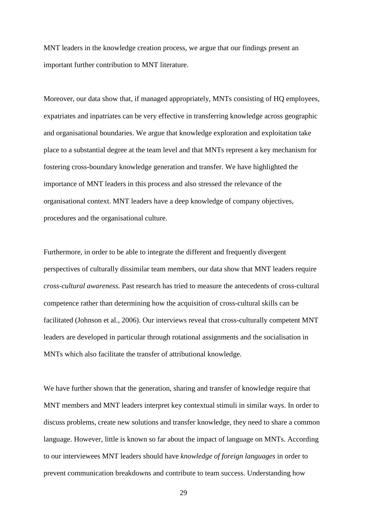MNT leaders in the knowledge creation process, we argue that our findings present an important further contribution to MNT literature.

Moreover, our data show that, if managed appropriately, MNTs consisting of HQ employees, expatriates and inpatriates can be very effective in transferring knowledge across geographic and organisational boundaries. We argue that knowledge exploration and exploitation take place to a substantial degree at the team level and that MNTs represent a key mechanism for fostering cross-boundary knowledge generation and transfer. We have highlighted the importance of MNT leaders in this process and also stressed the relevance of the organisational context. MNT leaders have a deep knowledge of company objectives, procedures and the organisational culture.

Furthermore, in order to be able to integrate the different and frequently divergent perspectives of culturally dissimilar team members, our data show that MNT leaders require *cross-cultural awareness*. Past research has tried to measure the antecedents of cross-cultural competence rather than determining how the acquisition of cross-cultural skills can be facilitated (Johnson et al., 2006). Our interviews reveal that cross-culturally competent MNT leaders are developed in particular through rotational assignments and the socialisation in MNTs which also facilitate the transfer of attributional knowledge.

We have further shown that the generation, sharing and transfer of knowledge require that MNT members and MNT leaders interpret key contextual stimuli in similar ways. In order to discuss problems, create new solutions and transfer knowledge, they need to share a common language. However, little is known so far about the impact of language on MNTs. According to our interviewees MNT leaders should have *knowledge of foreign languages* in order to prevent communication breakdowns and contribute to team success. Understanding how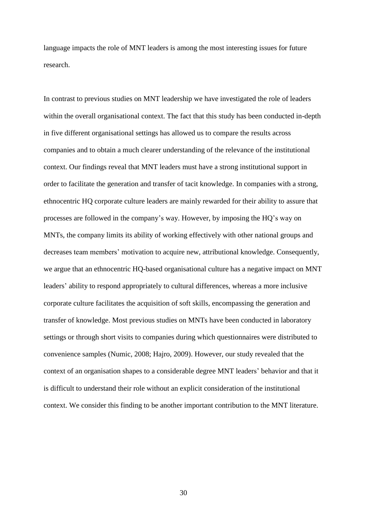language impacts the role of MNT leaders is among the most interesting issues for future research.

In contrast to previous studies on MNT leadership we have investigated the role of leaders within the overall organisational context. The fact that this study has been conducted in-depth in five different organisational settings has allowed us to compare the results across companies and to obtain a much clearer understanding of the relevance of the institutional context. Our findings reveal that MNT leaders must have a strong institutional support in order to facilitate the generation and transfer of tacit knowledge. In companies with a strong, ethnocentric HQ corporate culture leaders are mainly rewarded for their ability to assure that processes are followed in the company's way. However, by imposing the HQ's way on MNTs, the company limits its ability of working effectively with other national groups and decreases team members' motivation to acquire new, attributional knowledge. Consequently, we argue that an ethnocentric HQ-based organisational culture has a negative impact on MNT leaders' ability to respond appropriately to cultural differences, whereas a more inclusive corporate culture facilitates the acquisition of soft skills, encompassing the generation and transfer of knowledge. Most previous studies on MNTs have been conducted in laboratory settings or through short visits to companies during which questionnaires were distributed to convenience samples (Numic, 2008; Hajro, 2009). However, our study revealed that the context of an organisation shapes to a considerable degree MNT leaders' behavior and that it is difficult to understand their role without an explicit consideration of the institutional context. We consider this finding to be another important contribution to the MNT literature.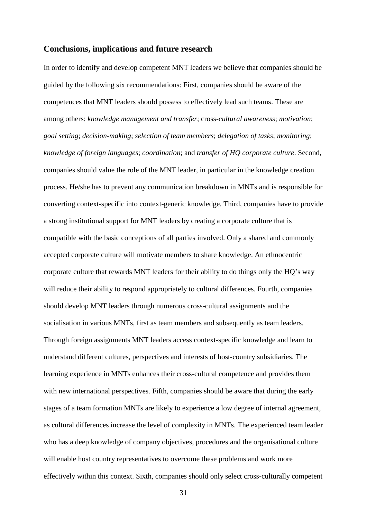## **Conclusions, implications and future research**

In order to identify and develop competent MNT leaders we believe that companies should be guided by the following six recommendations: First, companies should be aware of the competences that MNT leaders should possess to effectively lead such teams. These are among others: *knowledge management and transfer*; cross-*cultural awareness*; *motivation*; *goal setting*; *decision-making*; *selection of team members*; *delegation of tasks*; *monitoring*; *knowledge of foreign languages*; *coordination*; and *transfer of HQ corporate culture*. Second, companies should value the role of the MNT leader, in particular in the knowledge creation process. He/she has to prevent any communication breakdown in MNTs and is responsible for converting context-specific into context-generic knowledge. Third, companies have to provide a strong institutional support for MNT leaders by creating a corporate culture that is compatible with the basic conceptions of all parties involved. Only a shared and commonly accepted corporate culture will motivate members to share knowledge. An ethnocentric corporate culture that rewards MNT leaders for their ability to do things only the HQ's way will reduce their ability to respond appropriately to cultural differences. Fourth, companies should develop MNT leaders through numerous cross-cultural assignments and the socialisation in various MNTs, first as team members and subsequently as team leaders. Through foreign assignments MNT leaders access context-specific knowledge and learn to understand different cultures, perspectives and interests of host-country subsidiaries. The learning experience in MNTs enhances their cross-cultural competence and provides them with new international perspectives. Fifth, companies should be aware that during the early stages of a team formation MNTs are likely to experience a low degree of internal agreement, as cultural differences increase the level of complexity in MNTs. The experienced team leader who has a deep knowledge of company objectives, procedures and the organisational culture will enable host country representatives to overcome these problems and work more effectively within this context. Sixth, companies should only select cross-culturally competent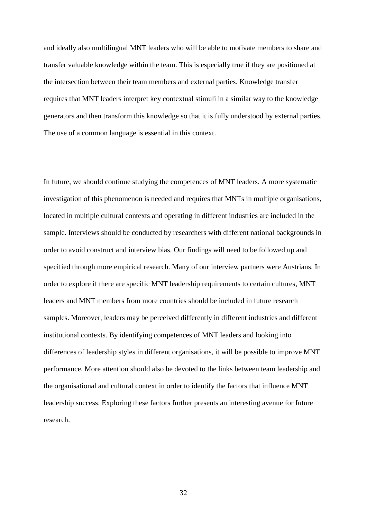and ideally also multilingual MNT leaders who will be able to motivate members to share and transfer valuable knowledge within the team. This is especially true if they are positioned at the intersection between their team members and external parties. Knowledge transfer requires that MNT leaders interpret key contextual stimuli in a similar way to the knowledge generators and then transform this knowledge so that it is fully understood by external parties. The use of a common language is essential in this context.

In future, we should continue studying the competences of MNT leaders. A more systematic investigation of this phenomenon is needed and requires that MNTs in multiple organisations, located in multiple cultural contexts and operating in different industries are included in the sample. Interviews should be conducted by researchers with different national backgrounds in order to avoid construct and interview bias. Our findings will need to be followed up and specified through more empirical research. Many of our interview partners were Austrians. In order to explore if there are specific MNT leadership requirements to certain cultures, MNT leaders and MNT members from more countries should be included in future research samples. Moreover, leaders may be perceived differently in different industries and different institutional contexts. By identifying competences of MNT leaders and looking into differences of leadership styles in different organisations, it will be possible to improve MNT performance. More attention should also be devoted to the links between team leadership and the organisational and cultural context in order to identify the factors that influence MNT leadership success. Exploring these factors further presents an interesting avenue for future research.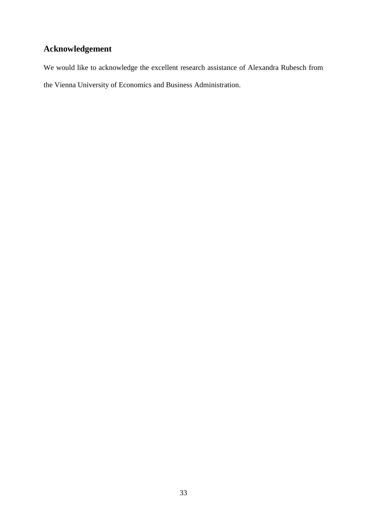# **Acknowledgement**

We would like to acknowledge the excellent research assistance of Alexandra Rubesch from the Vienna University of Economics and Business Administration.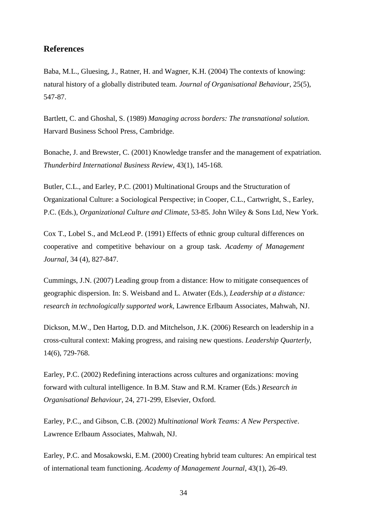## **References**

Baba, M.L., Gluesing, J., Ratner, H. and Wagner, K.H. (2004) The contexts of knowing: natural history of a globally distributed team. *Journal of Organisational Behaviour*, 25(5), 547-87.

Bartlett, C. and Ghoshal, S. (1989) *Managing across borders: The transnational solution.* Harvard Business School Press, Cambridge.

Bonache, J. and Brewster, C. (2001) Knowledge transfer and the management of expatriation. *Thunderbird International Business Review*, 43(1), 145-168.

Butler, C.L., and Earley, P.C. (2001) Multinational Groups and the Structuration of Organizational Culture: a Sociological Perspective; in Cooper, C.L., Cartwright, S., Earley, P.C. (Eds.), *Organizational Culture and Climate*, 53-85. John Wiley & Sons Ltd, New York.

Cox T., Lobel S., and McLeod P. (1991) Effects of ethnic group cultural differences on cooperative and competitive behaviour on a group task. *Academy of Management Journal*, 34 (4), 827-847.

Cummings, J.N. (2007) Leading group from a distance: How to mitigate consequences of geographic dispersion. In: S. Weisband and L. Atwater (Eds.), *Leadership at a distance: research in technologically supported work,* Lawrence Erlbaum Associates, Mahwah, NJ.

Dickson, M.W., Den Hartog, D.D. and Mitchelson, J.K. (2006) Research on leadership in a cross-cultural context: Making progress, and raising new questions. *Leadership Quarterly,* 14(6), 729-768.

Earley, P.C. (2002) Redefining interactions across cultures and organizations: moving forward with cultural intelligence. In B.M. Staw and R.M. Kramer (Eds.) *Research in Organisational Behaviour*, 24, 271-299, Elsevier, Oxford.

Earley, P.C., and Gibson, C.B. (2002) *Multinational Work Teams: A New Perspective*. Lawrence Erlbaum Associates, Mahwah, NJ.

Earley, P.C. and Mosakowski, E.M. (2000) Creating hybrid team cultures: An empirical test of international team functioning. *Academy of Management Journal*, 43(1), 26-49.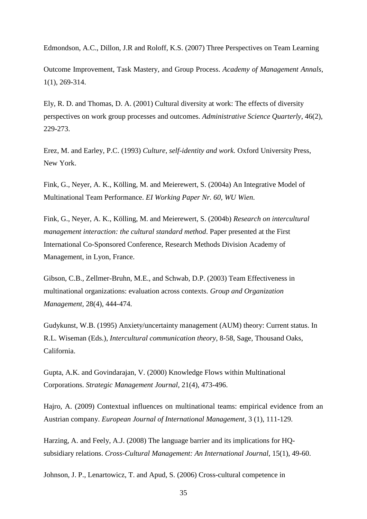Edmondson, A.C., Dillon, J.R and Roloff, K.S. (2007) Three Perspectives on Team Learning

Outcome Improvement, Task Mastery, and Group Process. *Academy of Management Annals*, 1(1), 269-314.

Ely, R. D. and Thomas, D. A. (2001) Cultural diversity at work: The effects of diversity perspectives on work group processes and outcomes. *Administrative Science Quarterly*, 46(2), 229-273.

Erez, M. and Earley, P.C. (1993) *Culture, self-identity and work.* Oxford University Press, New York.

Fink, G., Neyer, A. K., Kölling, M. and Meierewert, S. (2004a) An Integrative Model of Multinational Team Performance. *EI Working Paper Nr. 60, WU Wien*.

Fink, G., Neyer, A. K., Kölling, M. and Meierewert, S. (2004b) *Research on intercultural management interaction: the cultural standard method*. Paper presented at the First International Co-Sponsored Conference, Research Methods Division Academy of Management, in Lyon, France.

Gibson, C.B., Zellmer-Bruhn, M.E., and Schwab, D.P. (2003) Team Effectiveness in multinational organizations: evaluation across contexts. *Group and Organization Management,* 28(4), 444-474.

Gudykunst, W.B. (1995) Anxiety/uncertainty management (AUM) theory: Current status. In R.L. Wiseman (Eds.), *Intercultural communication theory*, 8-58, Sage, Thousand Oaks, California.

Gupta, A.K. and Govindarajan, V. (2000) Knowledge Flows within Multinational Corporations. *Strategic Management Journal,* 21(4), 473-496.

Hajro, A. (2009) Contextual influences on multinational teams: empirical evidence from an Austrian company. *European Journal of International Management*, 3 (1), 111-129.

Harzing, A. and Feely, A.J. (2008) The language barrier and its implications for HQsubsidiary relations. *Cross-Cultural Management: An International Journal*, 15(1), 49-60.

Johnson, J. P., Lenartowicz, T. and Apud, S. (2006) Cross-cultural competence in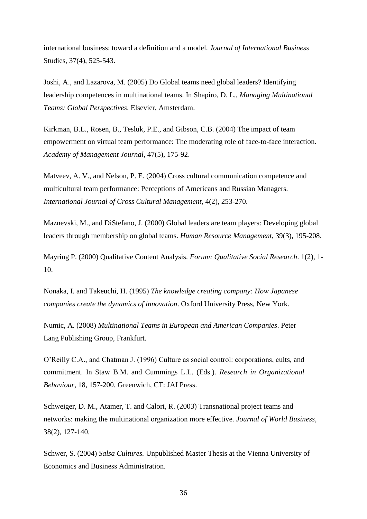international business: toward a definition and a model. *Journal of International Business* Studies, 37(4), 525-543.

Joshi, A., and Lazarova, M. (2005) Do Global teams need global leaders? Identifying leadership competences in multinational teams. In Shapiro, D. L., *Managing Multinational Teams: Global Perspectives*. Elsevier, Amsterdam.

Kirkman, B.L., Rosen, B., Tesluk, P.E., and Gibson, C.B. (2004) The impact of team empowerment on virtual team performance: The moderating role of face-to-face interaction. *Academy of Management Journal*, 47(5), 175-92.

Matveev, A. V., and Nelson, P. E. (2004) Cross cultural communication competence and multicultural team performance: Perceptions of Americans and Russian Managers. *International Journal of Cross Cultural Management,* 4(2), 253-270.

Maznevski, M., and DiStefano, J. (2000) Global leaders are team players: Developing global leaders through membership on global teams. *Human Resource Management*, 39(3), 195-208.

Mayring P. (2000) Qualitative Content Analysis. *Forum: Qualitative Social Research*. 1(2), 1- 10.

Nonaka, I. and Takeuchi, H. (1995) *The knowledge creating company: How Japanese companies create the dynamics of innovation*. Oxford University Press, New York.

Numic, A. (2008) *Multinational Teams in European and American Companies*. Peter Lang Publishing Group, Frankfurt.

O'Reilly C.A., and Chatman J. (1996) Culture as social control: corporations, cults, and commitment. In Staw B.M. and Cummings L.L. (Eds.). *Research in Organizational Behaviour*, 18, 157-200. Greenwich, CT: JAI Press.

Schweiger, D. M., Atamer, T. and Calori, R. (2003) Transnational project teams and networks: making the multinational organization more effective. *Journal of World Business*, 38(2), 127-140.

Schwer, S. (2004) *Salsa Cultures.* Unpublished Master Thesis at the Vienna University of Economics and Business Administration.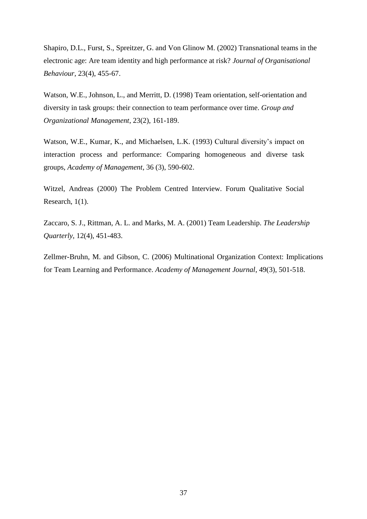Shapiro, D.L., Furst, S., Spreitzer, G. and Von Glinow M. (2002) Transnational teams in the electronic age: Are team identity and high performance at risk? *Journal of Organisational Behaviour,* 23(4), 455-67.

Watson, W.E., Johnson, L., and Merritt, D. (1998) Team orientation, self-orientation and diversity in task groups: their connection to team performance over time. *Group and Organizational Management*, 23(2), 161-189.

Watson, W.E., Kumar, K., and Michaelsen, L.K. (1993) Cultural diversity's impact on interaction process and performance: Comparing homogeneous and diverse task groups, *Academy of Management*, 36 (3), 590-602.

Witzel, Andreas (2000) The Problem Centred Interview. Forum Qualitative Social Research, 1(1).

Zaccaro, S. J., Rittman, A. L. and Marks, M. A. (2001) Team Leadership. *The Leadership Quarterly*, 12(4), 451-483.

Zellmer-Bruhn, M. and Gibson, C. (2006) Multinational Organization Context: Implications for Team Learning and Performance. *Academy of Management Journal*, 49(3), 501-518.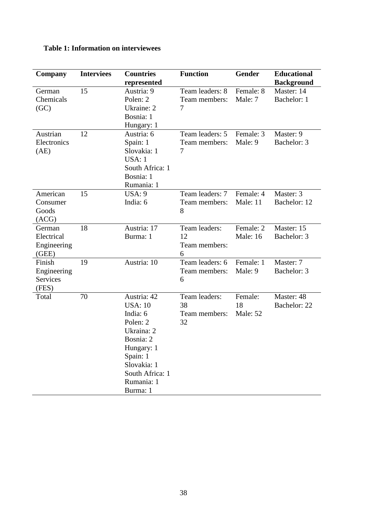| Company                                           | <b>Interviees</b> | <b>Countries</b><br>represented                                                                                                                                        | <b>Function</b>                            | <b>Gender</b>                | <b>Educational</b><br><b>Background</b> |
|---------------------------------------------------|-------------------|------------------------------------------------------------------------------------------------------------------------------------------------------------------------|--------------------------------------------|------------------------------|-----------------------------------------|
| German<br>Chemicals<br>(GC)                       | 15                | Austria: 9<br>Polen: 2<br>Ukraine: 2<br>Bosnia: 1<br>Hungary: 1                                                                                                        | Team leaders: 8<br>Team members:<br>7      | Female: 8<br>Male: 7         | Master: 14<br>Bachelor: 1               |
| Austrian<br>Electronics<br>(AE)                   | 12                | Austria: 6<br>Spain: 1<br>Slovakia: 1<br>USA: 1<br>South Africa: 1<br>Bosnia: 1<br>Rumania: 1                                                                          | Team leaders: 5<br>Team members:<br>7      | Female: 3<br>Male: 9         | Master: 9<br>Bachelor: 3                |
| American<br>Consumer<br>Goods<br>(ACG)            | 15                | USA: 9<br>India: 6                                                                                                                                                     | Team leaders: 7<br>Team members:<br>8      | Female: 4<br>Male: 11        | Master: 3<br>Bachelor: 12               |
| German<br>Electrical<br>Engineering<br>(GEE)      | 18                | Austria: 17<br>Burma: 1                                                                                                                                                | Team leaders:<br>12<br>Team members:<br>6  | Female: 2<br><b>Male: 16</b> | Master: 15<br>Bachelor: 3               |
| Finish<br>Engineering<br><b>Services</b><br>(FES) | 19                | Austria: 10                                                                                                                                                            | Team leaders: 6<br>Team members:<br>6      | Female: 1<br>Male: 9         | Master: 7<br>Bachelor: 3                |
| Total                                             | 70                | Austria: 42<br><b>USA: 10</b><br>India: 6<br>Polen: 2<br>Ukraina: 2<br>Bosnia: 2<br>Hungary: 1<br>Spain: 1<br>Slovakia: 1<br>South Africa: 1<br>Rumania: 1<br>Burma: 1 | Team leaders:<br>38<br>Team members:<br>32 | Female:<br>18<br>Male: 52    | Master: 48<br>Bachelor: 22              |

## **Table 1: Information on interviewees**